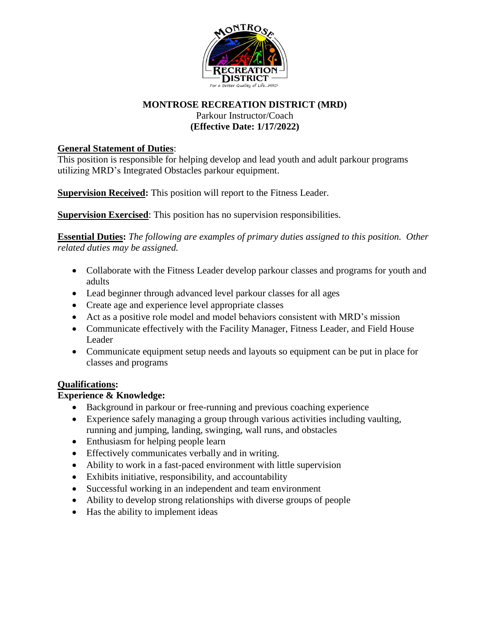

# **MONTROSE RECREATION DISTRICT (MRD)** Parkour Instructor/Coach **(Effective Date: 1/17/2022)**

# **General Statement of Duties**:

This position is responsible for helping develop and lead youth and adult parkour programs utilizing MRD's Integrated Obstacles parkour equipment.

**Supervision Received:** This position will report to the Fitness Leader.

**Supervision Exercised:** This position has no supervision responsibilities.

**Essential Duties:** *The following are examples of primary duties assigned to this position. Other related duties may be assigned.*

- Collaborate with the Fitness Leader develop parkour classes and programs for youth and adults
- Lead beginner through advanced level parkour classes for all ages
- Create age and experience level appropriate classes
- Act as a positive role model and model behaviors consistent with MRD's mission
- Communicate effectively with the Facility Manager, Fitness Leader, and Field House Leader
- Communicate equipment setup needs and layouts so equipment can be put in place for classes and programs

# **Qualifications:**

# **Experience & Knowledge:**

- Background in parkour or free-running and previous coaching experience
- Experience safely managing a group through various activities including vaulting, running and jumping, landing, swinging, wall runs, and obstacles
- Enthusiasm for helping people learn
- Effectively communicates verbally and in writing.
- Ability to work in a fast-paced environment with little supervision
- Exhibits initiative, responsibility, and accountability
- Successful working in an independent and team environment
- Ability to develop strong relationships with diverse groups of people
- Has the ability to implement ideas